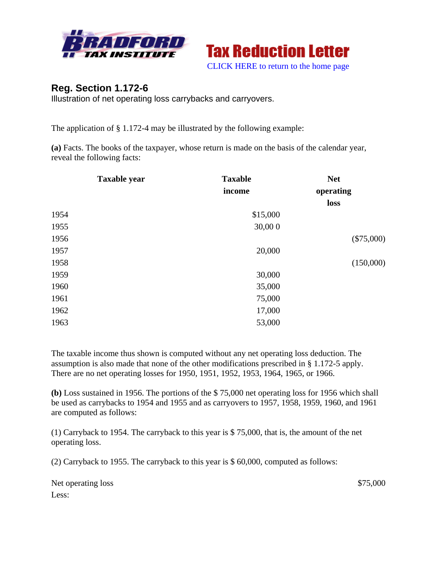



## **Reg. Section 1.172-6**

Illustration of net operating loss carrybacks and carryovers.

The application of § 1.172-4 may be illustrated by the following example:

**(a)** Facts. The books of the taxpayer, whose return is made on the basis of the calendar year, reveal the following facts:

| <b>Taxable</b><br>income | <b>Net</b><br>operating |
|--------------------------|-------------------------|
|                          | loss                    |
| \$15,000                 |                         |
| 30,000                   |                         |
|                          | $(\$75,000)$            |
| 20,000                   |                         |
|                          | (150,000)               |
| 30,000                   |                         |
| 35,000                   |                         |
| 75,000                   |                         |
| 17,000                   |                         |
| 53,000                   |                         |
|                          |                         |

The taxable income thus shown is computed without any net operating loss deduction. The assumption is also made that none of the other modifications prescribed in § 1.172-5 apply. There are no net operating losses for 1950, 1951, 1952, 1953, 1964, 1965, or 1966.

**(b)** Loss sustained in 1956. The portions of the \$ 75,000 net operating loss for 1956 which shall be used as carrybacks to 1954 and 1955 and as carryovers to 1957, 1958, 1959, 1960, and 1961 are computed as follows:

(1) Carryback to 1954. The carryback to this year is \$ 75,000, that is, the amount of the net operating loss.

(2) Carryback to 1955. The carryback to this year is \$ 60,000, computed as follows:

Net operating loss \$75,000 Less: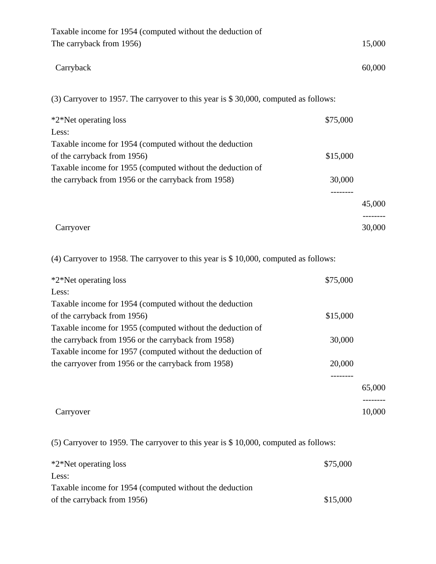| Taxable income for 1954 (computed without the deduction of<br>The carryback from 1956) | 15,000              |
|----------------------------------------------------------------------------------------|---------------------|
| Carryback                                                                              | 60,000              |
| (3) Carryover to 1957. The carryover to this year is \$30,000, computed as follows:    |                     |
| *2*Net operating loss                                                                  | \$75,000            |
| Less:                                                                                  |                     |
| Taxable income for 1954 (computed without the deduction                                |                     |
| of the carryback from 1956)                                                            | \$15,000            |
| Taxable income for 1955 (computed without the deduction of                             |                     |
| the carryback from 1956 or the carryback from 1958)                                    | 30,000              |
|                                                                                        | --------            |
|                                                                                        | 45,000              |
|                                                                                        |                     |
| Carryover                                                                              | 30,000              |
| $(4)$ Carryover to 1958. The carryover to this year is \$ 10,000, computed as follows: |                     |
| *2*Net operating loss                                                                  | \$75,000            |
| Less:                                                                                  |                     |
| Taxable income for 1954 (computed without the deduction                                |                     |
| of the carryback from 1956)                                                            | \$15,000            |
| Taxable income for 1955 (computed without the deduction of                             |                     |
| the carryback from 1956 or the carryback from 1958)                                    | 30,000              |
| Taxable income for 1957 (computed without the deduction of                             |                     |
| the carryover from 1956 or the carryback from 1958)                                    | 20,000              |
|                                                                                        | ---------<br>65,000 |
| Carryover                                                                              | 10,000              |

(5) Carryover to 1959. The carryover to this year is \$ 10,000, computed as follows:

| *2*Net operating loss                                   | \$75,000 |
|---------------------------------------------------------|----------|
| Less:                                                   |          |
| Taxable income for 1954 (computed without the deduction |          |
| of the carryback from 1956)                             | \$15,000 |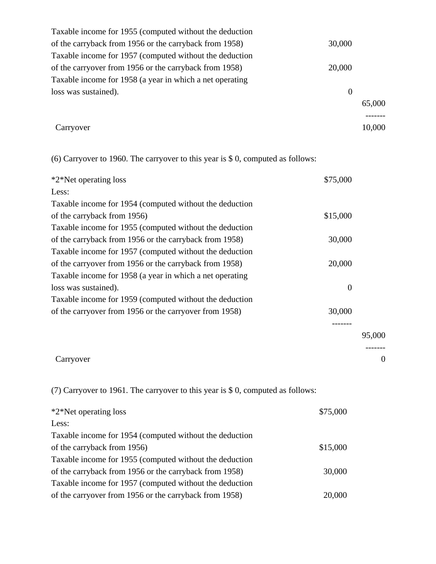| Taxable income for 1955 (computed without the deduction  |                |        |
|----------------------------------------------------------|----------------|--------|
| of the carryback from 1956 or the carryback from 1958)   | 30,000         |        |
| Taxable income for 1957 (computed without the deduction  |                |        |
| of the carryover from 1956 or the carryback from 1958)   | 20,000         |        |
| Taxable income for 1958 (a year in which a net operating |                |        |
| loss was sustained).                                     | $\overline{0}$ |        |
|                                                          |                | 65,000 |
|                                                          |                |        |
| Carryover                                                |                | 10,000 |

(6) Carryover to 1960. The carryover to this year is \$ 0, computed as follows:

| *2*Net operating loss                                    | \$75,000         |                  |
|----------------------------------------------------------|------------------|------------------|
| Less:                                                    |                  |                  |
| Taxable income for 1954 (computed without the deduction  |                  |                  |
| of the carryback from 1956)                              | \$15,000         |                  |
| Taxable income for 1955 (computed without the deduction  |                  |                  |
| of the carryback from 1956 or the carryback from 1958)   | 30,000           |                  |
| Taxable income for 1957 (computed without the deduction  |                  |                  |
| of the carryover from 1956 or the carryback from 1958)   | 20,000           |                  |
| Taxable income for 1958 (a year in which a net operating |                  |                  |
| loss was sustained).                                     | $\boldsymbol{0}$ |                  |
| Taxable income for 1959 (computed without the deduction  |                  |                  |
| of the carryover from 1956 or the carryover from 1958)   | 30,000           |                  |
|                                                          |                  |                  |
|                                                          |                  | 95,000           |
|                                                          |                  |                  |
| Carryover                                                |                  | $\boldsymbol{0}$ |

(7) Carryover to 1961. The carryover to this year is \$ 0, computed as follows:

| *2*Net operating loss                                   | \$75,000 |
|---------------------------------------------------------|----------|
| Less:                                                   |          |
| Taxable income for 1954 (computed without the deduction |          |
| of the carryback from 1956)                             | \$15,000 |
| Taxable income for 1955 (computed without the deduction |          |
| of the carryback from 1956 or the carryback from 1958)  | 30,000   |
| Taxable income for 1957 (computed without the deduction |          |
| of the carryover from 1956 or the carryback from 1958)  | 20,000   |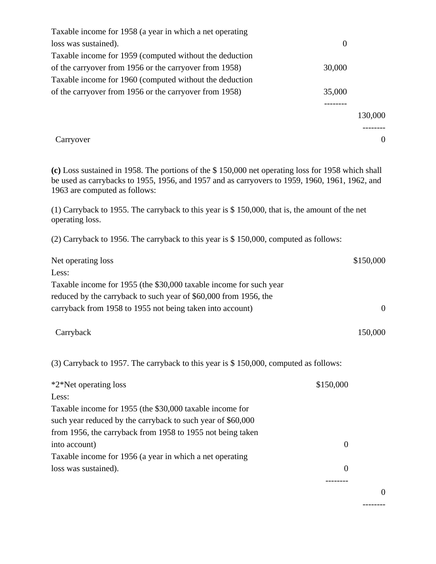| Taxable income for 1958 (a year in which a net operating |          |         |
|----------------------------------------------------------|----------|---------|
| loss was sustained).                                     | $\theta$ |         |
| Taxable income for 1959 (computed without the deduction  |          |         |
| of the carryover from 1956 or the carryover from 1958)   | 30,000   |         |
| Taxable income for 1960 (computed without the deduction  |          |         |
| of the carryover from 1956 or the carryover from 1958)   | 35,000   |         |
|                                                          |          |         |
|                                                          |          | 130,000 |
|                                                          |          |         |
| Carryover                                                |          |         |

**(c)** Loss sustained in 1958. The portions of the \$ 150,000 net operating loss for 1958 which shall be used as carrybacks to 1955, 1956, and 1957 and as carryovers to 1959, 1960, 1961, 1962, and 1963 are computed as follows:

(1) Carryback to 1955. The carryback to this year is \$ 150,000, that is, the amount of the net operating loss.

(2) Carryback to 1956. The carryback to this year is \$ 150,000, computed as follows:

| Net operating loss                                                 | \$150,000 |
|--------------------------------------------------------------------|-----------|
| Less:                                                              |           |
| Taxable income for 1955 (the \$30,000 taxable income for such year |           |
| reduced by the carryback to such year of \$60,000 from 1956, the   |           |
| carryback from 1958 to 1955 not being taken into account)          | $\Omega$  |
| Carryback                                                          | 150,000   |

(3) Carryback to 1957. The carryback to this year is \$ 150,000, computed as follows:

| *2*Net operating loss                                       | \$150,000 |
|-------------------------------------------------------------|-----------|
| Less:                                                       |           |
| Taxable income for 1955 (the \$30,000 taxable income for    |           |
| such year reduced by the carryback to such year of \$60,000 |           |
| from 1956, the carryback from 1958 to 1955 not being taken  |           |
| into account)                                               |           |
| Taxable income for 1956 (a year in which a net operating    |           |
| loss was sustained).                                        |           |
|                                                             |           |

0

--------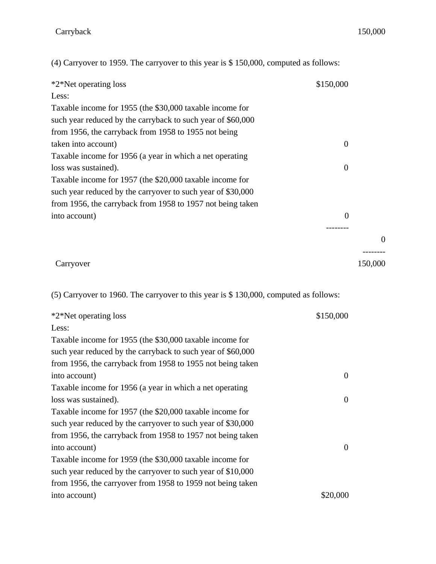0

(4) Carryover to 1959. The carryover to this year is \$ 150,000, computed as follows:

| *2*Net operating loss                                       | \$150,000      |                |
|-------------------------------------------------------------|----------------|----------------|
| Less:                                                       |                |                |
| Taxable income for 1955 (the \$30,000 taxable income for    |                |                |
| such year reduced by the carryback to such year of \$60,000 |                |                |
| from 1956, the carryback from 1958 to 1955 not being        |                |                |
| taken into account)                                         | $\overline{0}$ |                |
| Taxable income for 1956 (a year in which a net operating    |                |                |
| loss was sustained).                                        | $\theta$       |                |
| Taxable income for 1957 (the \$20,000 taxable income for    |                |                |
| such year reduced by the carryover to such year of \$30,000 |                |                |
| from 1956, the carryback from 1958 to 1957 not being taken  |                |                |
| into account)                                               | $\theta$       |                |
|                                                             |                |                |
|                                                             |                | $\overline{0}$ |
| Carryover                                                   |                | 150,000        |

(5) Carryover to 1960. The carryover to this year is \$ 130,000, computed as follows:

| \$150,000      |
|----------------|
|                |
|                |
|                |
|                |
| $\overline{0}$ |
|                |
| $\overline{0}$ |
|                |
|                |
|                |
| $\Omega$       |
|                |
|                |
|                |
| \$20,000       |
|                |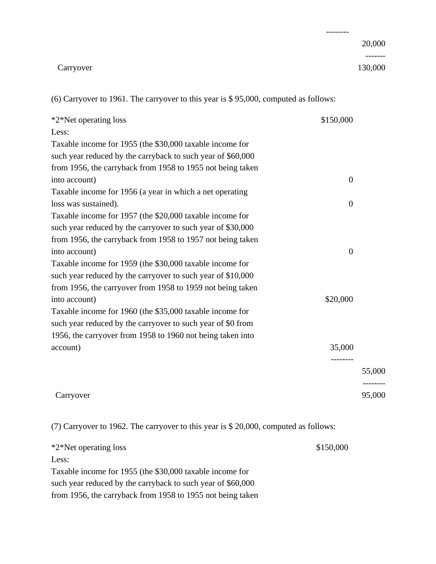|           | -------- |
|-----------|----------|
|           | 20,000   |
|           |          |
| Carryover | 130,000  |

(6) Carryover to 1961. The carryover to this year is \$ 95,000, computed as follows:

| *2*Net operating loss                                       | \$150,000        |        |
|-------------------------------------------------------------|------------------|--------|
| Less:                                                       |                  |        |
| Taxable income for 1955 (the \$30,000 taxable income for    |                  |        |
| such year reduced by the carryback to such year of \$60,000 |                  |        |
| from 1956, the carryback from 1958 to 1955 not being taken  |                  |        |
| into account)                                               | $\overline{0}$   |        |
| Taxable income for 1956 (a year in which a net operating    |                  |        |
| loss was sustained).                                        | $\boldsymbol{0}$ |        |
| Taxable income for 1957 (the \$20,000 taxable income for    |                  |        |
| such year reduced by the carryover to such year of \$30,000 |                  |        |
| from 1956, the carryback from 1958 to 1957 not being taken  |                  |        |
| into account)                                               | $\boldsymbol{0}$ |        |
| Taxable income for 1959 (the \$30,000 taxable income for    |                  |        |
| such year reduced by the carryover to such year of \$10,000 |                  |        |
| from 1956, the carryover from 1958 to 1959 not being taken  |                  |        |
| into account)                                               | \$20,000         |        |
| Taxable income for 1960 (the \$35,000 taxable income for    |                  |        |
| such year reduced by the carryover to such year of \$0 from |                  |        |
| 1956, the carryover from 1958 to 1960 not being taken into  |                  |        |
| account)                                                    | 35,000           |        |
|                                                             |                  |        |
|                                                             |                  | 55,000 |
|                                                             |                  |        |
| Carryover                                                   |                  | 95,000 |

(7) Carryover to 1962. The carryover to this year is \$ 20,000, computed as follows:

| *2*Net operating loss                                       | \$150,000 |
|-------------------------------------------------------------|-----------|
| Less:                                                       |           |
| Taxable income for 1955 (the \$30,000 taxable income for    |           |
| such year reduced by the carryback to such year of \$60,000 |           |
| from 1956, the carryback from 1958 to 1955 not being taken  |           |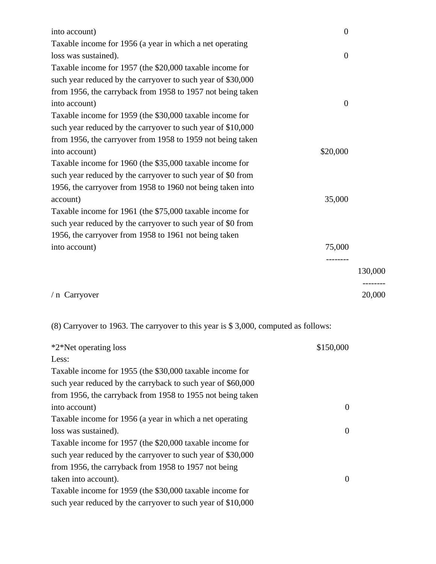| into account)                                               | $\boldsymbol{0}$ |         |
|-------------------------------------------------------------|------------------|---------|
| Taxable income for 1956 (a year in which a net operating    |                  |         |
| loss was sustained).                                        | $\mathbf{0}$     |         |
| Taxable income for 1957 (the \$20,000 taxable income for    |                  |         |
| such year reduced by the carryover to such year of \$30,000 |                  |         |
| from 1956, the carryback from 1958 to 1957 not being taken  |                  |         |
| into account)                                               | $\mathbf{0}$     |         |
| Taxable income for 1959 (the \$30,000 taxable income for    |                  |         |
| such year reduced by the carryover to such year of \$10,000 |                  |         |
| from 1956, the carryover from 1958 to 1959 not being taken  |                  |         |
| into account)                                               | \$20,000         |         |
| Taxable income for 1960 (the \$35,000 taxable income for    |                  |         |
| such year reduced by the carryover to such year of \$0 from |                  |         |
| 1956, the carryover from 1958 to 1960 not being taken into  |                  |         |
| account)                                                    | 35,000           |         |
| Taxable income for 1961 (the \$75,000 taxable income for    |                  |         |
| such year reduced by the carryover to such year of \$0 from |                  |         |
| 1956, the carryover from 1958 to 1961 not being taken       |                  |         |
| into account)                                               | 75,000           |         |
|                                                             |                  |         |
|                                                             |                  | 130,000 |
| / n Carryover                                               |                  | 20,000  |

(8) Carryover to 1963. The carryover to this year is \$ 3,000, computed as follows:

| *2*Net operating loss                                       | \$150,000 |
|-------------------------------------------------------------|-----------|
| Less:                                                       |           |
| Taxable income for 1955 (the \$30,000 taxable income for    |           |
| such year reduced by the carryback to such year of \$60,000 |           |
| from 1956, the carryback from 1958 to 1955 not being taken  |           |
| into account)                                               | $\theta$  |
| Taxable income for 1956 (a year in which a net operating    |           |
| loss was sustained).                                        | $\theta$  |
| Taxable income for 1957 (the \$20,000 taxable income for    |           |
| such year reduced by the carryover to such year of \$30,000 |           |
| from 1956, the carryback from 1958 to 1957 not being        |           |
| taken into account).                                        | $\Omega$  |
| Taxable income for 1959 (the \$30,000 taxable income for    |           |
| such year reduced by the carryover to such year of \$10,000 |           |